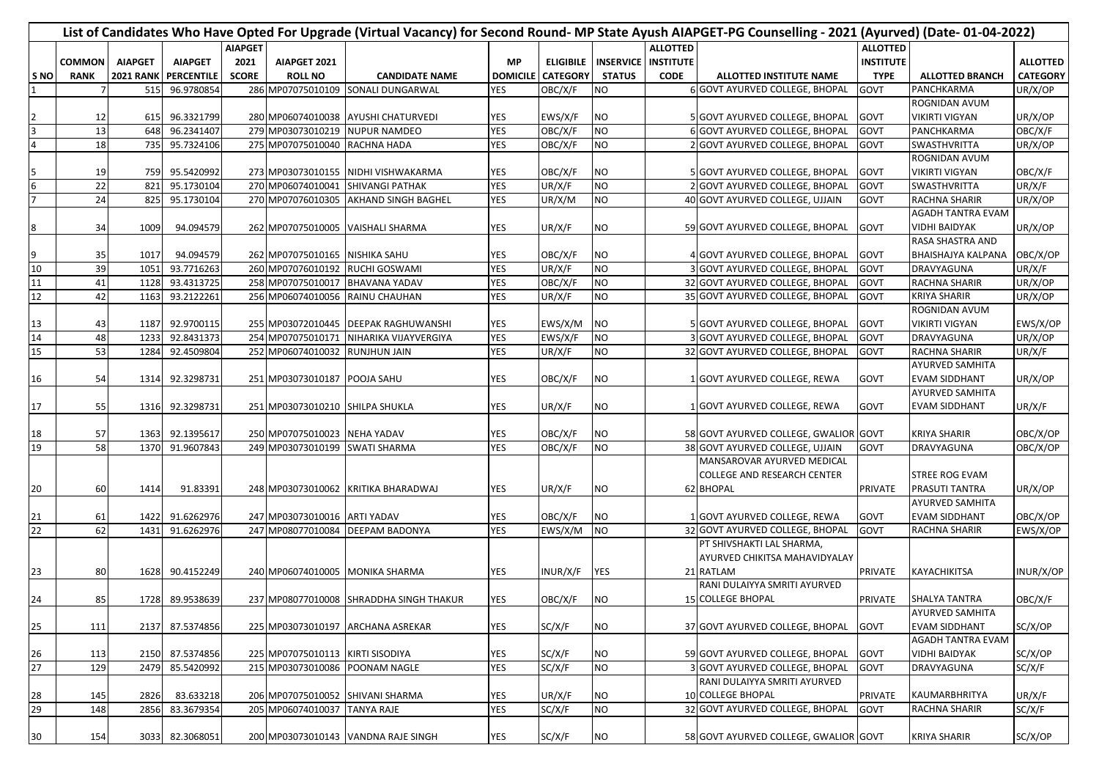| List of Candidates Who Have Opted For Upgrade (Virtual Vacancy) for Second Round-MP State Ayush AIAPGET-PG Counselling - 2021 (Ayurved) (Date-01-04-2022) |               |                  |                |                |                                 |                                         |                 |                  |                            |                 |                                       |                  |                           |                 |
|-----------------------------------------------------------------------------------------------------------------------------------------------------------|---------------|------------------|----------------|----------------|---------------------------------|-----------------------------------------|-----------------|------------------|----------------------------|-----------------|---------------------------------------|------------------|---------------------------|-----------------|
|                                                                                                                                                           |               |                  |                | <b>AIAPGET</b> |                                 |                                         |                 |                  |                            | <b>ALLOTTED</b> |                                       | <b>ALLOTTED</b>  |                           |                 |
|                                                                                                                                                           | <b>COMMON</b> | <b>AIAPGET</b>   | <b>AIAPGET</b> | 2021           | AIAPGET 2021                    |                                         | <b>MP</b>       | <b>ELIGIBILE</b> | <b>INSERVICE INSTITUTE</b> |                 |                                       | <b>INSTITUTE</b> |                           | <b>ALLOTTED</b> |
| S <sub>NO</sub>                                                                                                                                           | <b>RANK</b>   | <b>2021 RANK</b> | PERCENTILE     | <b>SCORE</b>   | <b>ROLL NO</b>                  | <b>CANDIDATE NAME</b>                   | <b>DOMICILE</b> | <b>CATEGORY</b>  | <b>STATUS</b>              | <b>CODE</b>     | ALLOTTED INSTITUTE NAME               | <b>TYPE</b>      | <b>ALLOTTED BRANCH</b>    | <b>CATEGORY</b> |
|                                                                                                                                                           |               | 515              | 96.9780854     |                | 286 MP07075010109               | SONALI DUNGARWAL                        | <b>YES</b>      | OBC/X/F          | <b>NO</b>                  |                 | 6 GOVT AYURVED COLLEGE, BHOPAL        | GOVT             | PANCHKARMA                | UR/X/OP         |
|                                                                                                                                                           |               |                  |                |                |                                 |                                         |                 |                  |                            |                 |                                       |                  | ROGNIDAN AVUM             |                 |
|                                                                                                                                                           | 12            | 615              | 96.3321799     |                | 280 MP06074010038               | <b>AYUSHI CHATURVEDI</b>                | YES             | EWS/X/F          | <b>NO</b>                  |                 | 5 GOVT AYURVED COLLEGE, BHOPAL        | GOVT             | <b>VIKIRTI VIGYAN</b>     | UR/X/OP         |
| З                                                                                                                                                         | 13            | 648              | 96.2341407     |                | 279 MP03073010219               | <b>NUPUR NAMDEO</b>                     | <b>YES</b>      | OBC/X/F          | <b>NO</b>                  |                 | 6 GOVT AYURVED COLLEGE, BHOPAL        | GOVT             | PANCHKARMA                | OBC/X/F         |
| $\overline{\mathbf{r}}$                                                                                                                                   | 18            | 735              | 95.7324106     |                | 275 MP07075010040               | <b>RACHNA HADA</b>                      | <b>YES</b>      | OBC/X/F          | <b>NO</b>                  |                 | 2 GOVT AYURVED COLLEGE, BHOPAL        | <b>GOVT</b>      | SWASTHVRITTA              | UR/X/OP         |
|                                                                                                                                                           |               |                  |                |                |                                 |                                         |                 |                  |                            |                 |                                       |                  | ROGNIDAN AVUM             |                 |
|                                                                                                                                                           | 19            | 759              | 95.5420992     |                | 273 MP03073010155               | NIDHI VISHWAKARMA                       | <b>YES</b>      | OBC/X/F          | <b>NO</b>                  |                 | 5 GOVT AYURVED COLLEGE, BHOPAL        | GOVT             | <b>VIKIRTI VIGYAN</b>     | OBC/X/F         |
| $\frac{5}{7}$                                                                                                                                             | 22            | 821              | 95.1730104     |                | 270 MP06074010041               | SHIVANGI PATHAK                         | <b>YES</b>      | UR/X/F           | <b>NO</b>                  |                 | 2 GOVT AYURVED COLLEGE, BHOPAL        | GOVT             | SWASTHVRITTA              | UR/X/F          |
|                                                                                                                                                           | 24            | 825              | 95.1730104     |                | 270 MP07076010305               | AKHAND SINGH BAGHEL                     | <b>YES</b>      | UR/X/M           | <b>NO</b>                  |                 | 40 GOVT AYURVED COLLEGE, UJJAIN       | <b>GOVT</b>      | <b>RACHNA SHARIR</b>      | UR/X/OP         |
|                                                                                                                                                           |               |                  |                |                |                                 |                                         |                 |                  |                            |                 |                                       |                  | <b>AGADH TANTRA EVAM</b>  |                 |
| 8                                                                                                                                                         | 34            | 1009             | 94.094579      |                |                                 | 262 MP07075010005 VAISHALI SHARMA       | <b>YES</b>      | UR/X/F           | <b>NO</b>                  |                 | 59 GOVT AYURVED COLLEGE, BHOPAL       | <b>GOVT</b>      | <b>VIDHI BAIDYAK</b>      | UR/X/OP         |
|                                                                                                                                                           |               |                  |                |                |                                 |                                         |                 |                  |                            |                 |                                       |                  | <b>RASA SHASTRA AND</b>   |                 |
|                                                                                                                                                           | 35            | 1017             | 94.094579      |                | 262 MP07075010165               | <b>NISHIKA SAHU</b>                     | <b>YES</b>      | OBC/X/F          | <b>NO</b>                  |                 | 4 GOVT AYURVED COLLEGE, BHOPAL        | GOVT             | <b>BHAISHAJYA KALPANA</b> | OBC/X/OP        |
| $\frac{9}{10}$                                                                                                                                            | 39            | 1051             | 93.7716263     |                | 260 MP07076010192               | RUCHI GOSWAMI                           | <b>YES</b>      | UR/X/F           | <b>DN</b>                  |                 | 3 GOVT AYURVED COLLEGE, BHOPAL        | GOVT             | DRAVYAGUNA                | UR/X/F          |
| 11                                                                                                                                                        | 41            | 1128             | 93.4313725     |                | 258 MP07075010017               | <b>BHAVANA YADAV</b>                    | <b>YES</b>      | OBC/X/F          | <b>NO</b>                  |                 | 32 GOVT AYURVED COLLEGE, BHOPAL       | <b>GOVT</b>      | RACHNA SHARIR             | UR/X/OP         |
| 12                                                                                                                                                        | 42            | 1163             | 93.2122261     |                | 256 MP06074010056               | RAINU CHAUHAN                           | <b>YES</b>      | UR/X/F           | <b>NO</b>                  |                 | 35 GOVT AYURVED COLLEGE, BHOPAL       | GOVT             | <b>KRIYA SHARIR</b>       | UR/X/OP         |
|                                                                                                                                                           |               |                  |                |                |                                 |                                         |                 |                  |                            |                 |                                       |                  | ROGNIDAN AVUM             |                 |
|                                                                                                                                                           | 43            | 1187             | 92.9700115     |                | 255 MP03072010445               | <b>DEEPAK RAGHUWANSHI</b>               | <b>YES</b>      | EWS/X/M          | <b>NO</b>                  |                 | 5 GOVT AYURVED COLLEGE, BHOPAL        | GOVT             | <b>VIKIRTI VIGYAN</b>     | EWS/X/OP        |
| $\frac{13}{14}$                                                                                                                                           | 48            | 1233             | 92.8431373     |                | 254 MP07075010171               | NIHARIKA VIJAYVERGIYA                   | <b>YES</b>      | EWS/X/F          | <b>NO</b>                  |                 | 3 GOVT AYURVED COLLEGE, BHOPAL        | GOVT             | DRAVYAGUNA                | UR/X/OP         |
| 15                                                                                                                                                        | 53            | 1284             | 92.4509804     |                | 252 MP06074010032               | <b>RUNJHUN JAIN</b>                     | <b>YES</b>      | UR/X/F           | <b>NO</b>                  |                 | 32 GOVT AYURVED COLLEGE, BHOPAL       | GOVT             | <b>RACHNA SHARIR</b>      | UR/X/F          |
|                                                                                                                                                           |               |                  |                |                |                                 |                                         |                 |                  |                            |                 |                                       |                  | <b>AYURVED SAMHITA</b>    |                 |
| 16                                                                                                                                                        | 54            | 1314             | 92.3298731     |                | 251 MP03073010187               | <b>POOJA SAHU</b>                       | <b>YES</b>      | OBC/X/F          | <b>NO</b>                  |                 | 1 GOVT AYURVED COLLEGE, REWA          | GOVT             | <b>EVAM SIDDHANT</b>      | UR/X/OP         |
|                                                                                                                                                           |               |                  |                |                |                                 |                                         |                 |                  |                            |                 |                                       |                  | <b>AYURVED SAMHITA</b>    |                 |
| 17                                                                                                                                                        | 55            | 1316             | 92.3298731     |                | 251 MP03073010210 SHILPA SHUKLA |                                         | <b>YES</b>      | UR/X/F           | <b>NO</b>                  |                 | 1 GOVT AYURVED COLLEGE, REWA          | <b>GOVT</b>      | <b>EVAM SIDDHANT</b>      | UR/X/F          |
|                                                                                                                                                           |               |                  |                |                |                                 |                                         |                 |                  |                            |                 |                                       |                  |                           |                 |
|                                                                                                                                                           | 57            | 1363             | 92.1395617     |                | 250 MP07075010023               | <b>NEHA YADAV</b>                       | YES             | OBC/X/F          | <b>NO</b>                  |                 | 58 GOVT AYURVED COLLEGE, GWALIOR GOVT |                  | <b>KRIYA SHARIR</b>       | OBC/X/OP        |
| $\frac{18}{19}$                                                                                                                                           | 58            | 1370             | 91.9607843     |                | 249 MP03073010199               | <b>SWATI SHARMA</b>                     | <b>YES</b>      | OBC/X/F          | <b>NO</b>                  |                 | 38 GOVT AYURVED COLLEGE, UJJAIN       | <b>GOVT</b>      | DRAVYAGUNA                | OBC/X/OP        |
|                                                                                                                                                           |               |                  |                |                |                                 |                                         |                 |                  |                            |                 | MANSAROVAR AYURVED MEDICAL            |                  |                           |                 |
|                                                                                                                                                           |               |                  |                |                |                                 |                                         |                 |                  |                            |                 | <b>COLLEGE AND RESEARCH CENTER</b>    |                  | <b>STREE ROG EVAM</b>     |                 |
| 20                                                                                                                                                        | 60            | 1414             | 91.83391       |                | 248 MP03073010062               | KRITIKA BHARADWAJ                       | <b>YES</b>      | UR/X/F           | <b>NO</b>                  |                 | 62 BHOPAL                             | <b>PRIVATE</b>   | PRASUTI TANTRA            | UR/X/OP         |
|                                                                                                                                                           |               |                  |                |                |                                 |                                         |                 |                  |                            |                 |                                       |                  | <b>AYURVED SAMHITA</b>    |                 |
| 21                                                                                                                                                        | 61            | 1422             | 91.6262976     |                | 247 MP03073010016               | <b>ARTI YADAV</b>                       | YES             | OBC/X/F          | <b>NO</b>                  |                 | 1 GOVT AYURVED COLLEGE, REWA          | GOVT             | <b>EVAM SIDDHANT</b>      | OBC/X/OP        |
| 22                                                                                                                                                        | 62            | 1431             | 91.6262976     |                | 247 MP08077010084               | <b>DEEPAM BADONYA</b>                   | <b>YES</b>      | EWS/X/M NO       |                            |                 | 32 GOVT AYURVED COLLEGE, BHOPAL       | GOVT             | <b>RACHNA SHARIR</b>      | EWS/X/OP        |
|                                                                                                                                                           |               |                  |                |                |                                 |                                         |                 |                  |                            |                 | PT SHIVSHAKTI LAL SHARMA,             |                  |                           |                 |
|                                                                                                                                                           |               |                  |                |                |                                 |                                         |                 |                  |                            |                 | AYURVED CHIKITSA MAHAVIDYALAY         |                  |                           |                 |
| 23                                                                                                                                                        | 80            | 1628             | 90.4152249     |                | 240 MP06074010005               | <b>MONIKA SHARMA</b>                    | <b>YES</b>      | INUR/X/F         | <b>YES</b>                 |                 | 21 RATLAM                             | <b>PRIVATE</b>   | <b>KAYACHIKITSA</b>       | INUR/X/OP       |
|                                                                                                                                                           |               |                  |                |                |                                 |                                         |                 |                  |                            |                 | RANI DULAIYYA SMRITI AYURVED          |                  |                           |                 |
|                                                                                                                                                           | 85            | 1728             | 89.9538639     |                |                                 | 237 MP08077010008 SHRADDHA SINGH THAKUR | <b>YES</b>      | OBC/X/F          | <b>NO</b>                  |                 | <b>15 COLLEGE BHOPAL</b>              | <b>PRIVATE</b>   | <b>SHALYA TANTRA</b>      | OBC/X/F         |
| $\frac{24}{5}$                                                                                                                                            |               |                  |                |                |                                 |                                         |                 |                  |                            |                 |                                       |                  | <b>AYURVED SAMHITA</b>    |                 |
| 25                                                                                                                                                        | 111           | 2137             | 87.5374856     |                | 225 MP03073010197               | <b>ARCHANA ASREKAR</b>                  | <b>YES</b>      | SC/X/F           | <b>NO</b>                  |                 | 37 GOVT AYURVED COLLEGE, BHOPAL       | <b>GOVT</b>      | <b>EVAM SIDDHANT</b>      | SC/X/OP         |
|                                                                                                                                                           |               |                  |                |                |                                 |                                         |                 |                  |                            |                 |                                       |                  | <b>AGADH TANTRA EVAM</b>  |                 |
|                                                                                                                                                           | 113           | 2150             | 87.5374856     |                | 225 MP07075010113               | <b>KIRTI SISODIYA</b>                   | <b>YES</b>      | SC/X/F           | <b>NO</b>                  |                 | 59 GOVT AYURVED COLLEGE, BHOPAL       | GOVT             | <b>VIDHI BAIDYAK</b>      | SC/X/OP         |
| $\frac{26}{27}$                                                                                                                                           | 129           | 2479             | 85.5420992     |                | 215 MP03073010086               | POONAM NAGLE                            | <b>YES</b>      | SC/X/F           | <b>NO</b>                  |                 | <b>3 GOVT AYURVED COLLEGE. BHOPAL</b> | GOVT             | DRAVYAGUNA                | SC/X/F          |
|                                                                                                                                                           |               |                  |                |                |                                 |                                         |                 |                  |                            |                 | RANI DULAIYYA SMRITI AYURVED          |                  |                           |                 |
|                                                                                                                                                           | 145           | 2826             | 83.633218      |                | 206 MP07075010052               | SHIVANI SHARMA                          | <b>YES</b>      | UR/X/F           | <b>NO</b>                  |                 | 10 COLLEGE BHOPAL                     | PRIVATE          | KAUMARBHRITYA             | UR/X/F          |
| $\frac{28}{29}$                                                                                                                                           | 148           | 2856             | 83.3679354     |                | 205 MP06074010037               | <b>TANYA RAJE</b>                       | <b>YES</b>      | SC/X/F           | <b>NO</b>                  |                 | 32 GOVT AYURVED COLLEGE, BHOPAL       | GOVT             | RACHNA SHARIR             | SC/X/F          |
|                                                                                                                                                           |               |                  |                |                |                                 |                                         |                 |                  |                            |                 |                                       |                  |                           |                 |
| 30 <sub>o</sub>                                                                                                                                           | 154           | 3033             | 82.3068051     |                |                                 | 200 MP03073010143 VANDNA RAJE SINGH     | <b>YES</b>      | SC/X/F           | <b>NO</b>                  |                 | 58 GOVT AYURVED COLLEGE, GWALIOR GOVT |                  | <b>KRIYA SHARIR</b>       | SC/X/OP         |